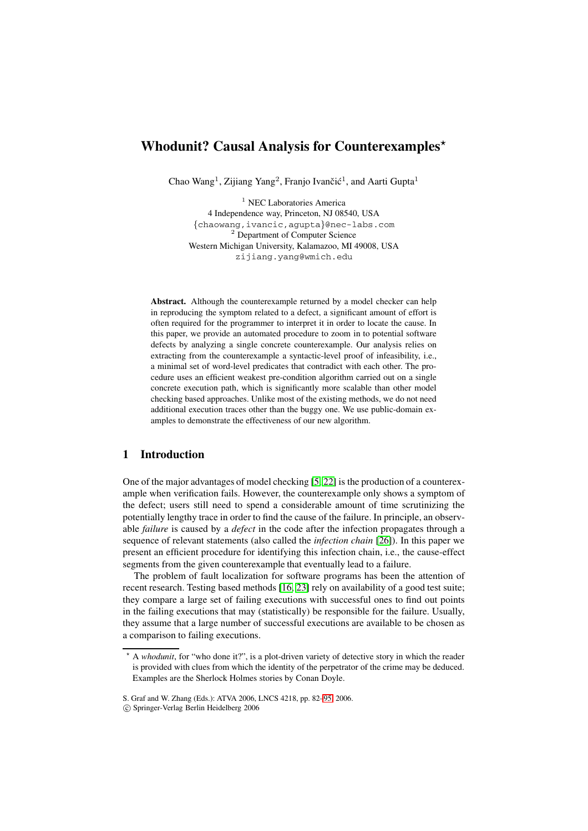# **Whodunit? Causal Analysis for Counterexamples***-*

Chao Wang<sup>1</sup>, Zijiang Yang<sup>2</sup>, Franjo Ivančić<sup>1</sup>, and Aarti Gupta<sup>1</sup>

<sup>1</sup> NEC Laboratories America 4 Independence way, Princeton, NJ 08540, USA {chaowang,ivancic,agupta}@nec-labs.com <sup>2</sup> Department of Computer Science Western Michigan University, Kalamazoo, MI 49008, USA zijiang.yang@wmich.edu

**Abstract.** Although the counterexample returned by a model checker can help in reproducing the symptom related to a defect, a significant amount of effort is often required for the programmer to interpret it in order to locate the cause. In this paper, we provide an automated procedure to zoom in to potential software defects by analyzing a single concrete counterexample. Our analysis relies on extracting from the counterexample a syntactic-level proof of infeasibility, i.e., a minimal set of word-level predicates that contradict with each other. The procedure uses an efficient weakest pre-condition algorithm carried out on a single concrete execution path, which is significantly more scalable than other model checking based approaches. Unlike most of the existing methods, we do not need additional execution traces other than the buggy one. We use public-domain examples to demonstrate the effectiveness of our new algorithm.

# **1 Introduction**

One of the major advantages of model checking [\[5,](#page-12-0) [22\]](#page-13-0) is the production of a counterexample when verification fails. However, the counterexample only shows a symptom of the defect; users still need to spend a considerable amount of time scrutinizing the potentially lengthy trace in order to find the cause of the failure. In principle, an observable *failure* is caused by a *defect* in the code after the infection propagates through a sequence of relevant statements (also called the *infection chain* [\[26\]](#page-13-1)). In this paper we present an efficient procedure for identifying this infection chain, i.e., the cause-effect segments from the given counterexample that eventually lead to a failure.

The problem of fault localization for software programs has been the attention of recent research. Testing based methods [\[16,](#page-13-2) [23\]](#page-13-3) rely on availability of a good test suite; they compare a large set of failing executions with successful ones to find out points in the failing executions that may (statistically) be responsible for the failure. Usually, they assume that a large number of successful executions are available to be chosen as a comparison to failing executions.

<sup>\*</sup> A *whodunit*, for "who done it?", is a plot-driven variety of detective story in which the reader is provided with clues from which the identity of the perpetrator of the crime may be deduced. Examples are the Sherlock Holmes stories by Conan Doyle.

S. Graf and W. Zhang (Eds.): ATVA 2006, LNCS 4218, pp. 82[–95,](#page-12-1) 2006.

<sup>-</sup>c Springer-Verlag Berlin Heidelberg 2006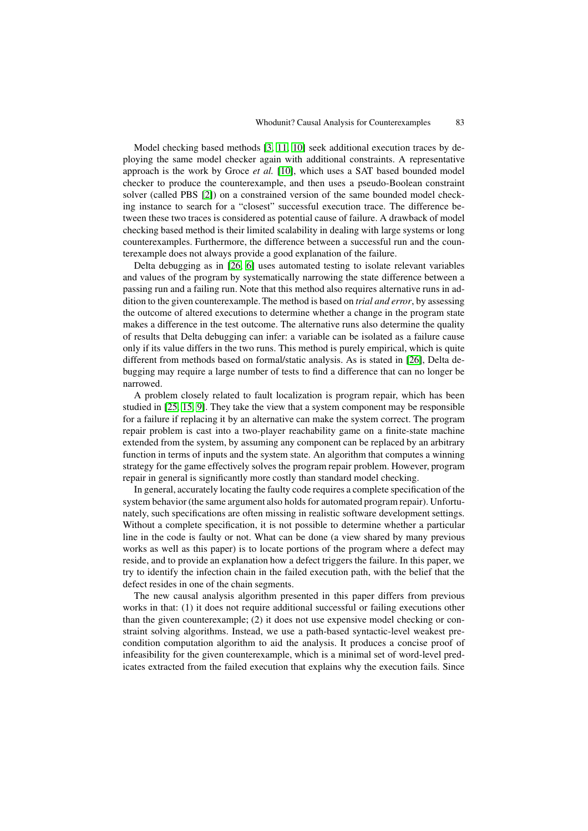Model checking based methods [\[3,](#page-12-2) [11,](#page-13-4) [10\]](#page-13-5) seek additional execution traces by deploying the same model checker again with additional constraints. A representative approach is the work by Groce *et al.* [\[10\]](#page-13-5), which uses a SAT based bounded model checker to produce the counterexample, and then uses a pseudo-Boolean constraint solver (called PBS [\[2\]](#page-12-3)) on a constrained version of the same bounded model checking instance to search for a "closest" successful execution trace. The difference between these two traces is considered as potential cause of failure. A drawback of model checking based method is their limited scalability in dealing with large systems or long counterexamples. Furthermore, the difference between a successful run and the counterexample does not always provide a good explanation of the failure.

Delta debugging as in [\[26,](#page-13-1) [6\]](#page-12-4) uses automated testing to isolate relevant variables and values of the program by systematically narrowing the state difference between a passing run and a failing run. Note that this method also requires alternative runs in addition to the given counterexample. The method is based on *trial and error*, by assessing the outcome of altered executions to determine whether a change in the program state makes a difference in the test outcome. The alternative runs also determine the quality of results that Delta debugging can infer: a variable can be isolated as a failure cause only if its value differs in the two runs. This method is purely empirical, which is quite different from methods based on formal/static analysis. As is stated in [\[26\]](#page-13-1), Delta debugging may require a large number of tests to find a difference that can no longer be narrowed.

A problem closely related to fault localization is program repair, which has been studied in [\[25,](#page-13-6) [15,](#page-13-7) [9\]](#page-13-8). They take the view that a system component may be responsible for a failure if replacing it by an alternative can make the system correct. The program repair problem is cast into a two-player reachability game on a finite-state machine extended from the system, by assuming any component can be replaced by an arbitrary function in terms of inputs and the system state. An algorithm that computes a winning strategy for the game effectively solves the program repair problem. However, program repair in general is significantly more costly than standard model checking.

In general, accurately locating the faulty code requires a complete specification of the system behavior (the same argument also holds for automated program repair). Unfortunately, such specifications are often missing in realistic software development settings. Without a complete specification, it is not possible to determine whether a particular line in the code is faulty or not. What can be done (a view shared by many previous works as well as this paper) is to locate portions of the program where a defect may reside, and to provide an explanation how a defect triggers the failure. In this paper, we try to identify the infection chain in the failed execution path, with the belief that the defect resides in one of the chain segments.

The new causal analysis algorithm presented in this paper differs from previous works in that: (1) it does not require additional successful or failing executions other than the given counterexample; (2) it does not use expensive model checking or constraint solving algorithms. Instead, we use a path-based syntactic-level weakest precondition computation algorithm to aid the analysis. It produces a concise proof of infeasibility for the given counterexample, which is a minimal set of word-level predicates extracted from the failed execution that explains why the execution fails. Since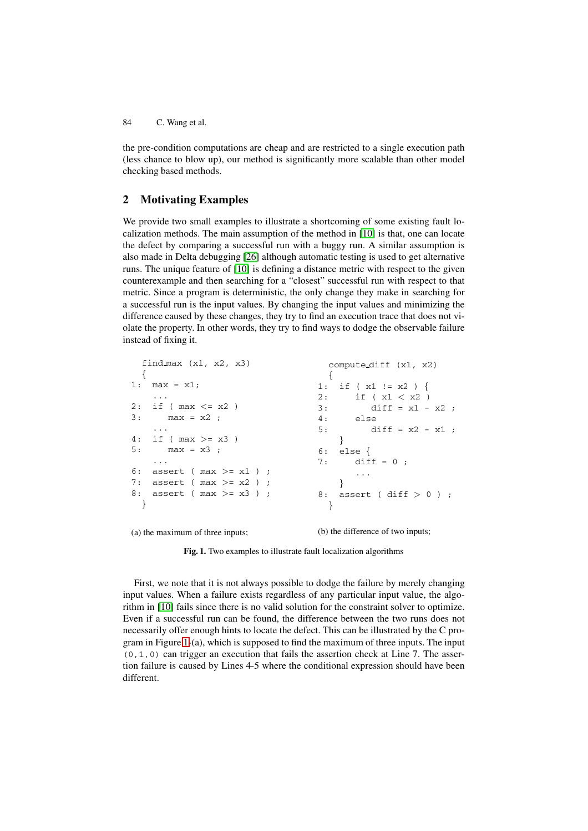the pre-condition computations are cheap and are restricted to a single execution path (less chance to blow up), our method is significantly more scalable than other model checking based methods.

# **2 Motivating Examples**

We provide two small examples to illustrate a shortcoming of some existing fault localization methods. The main assumption of the method in [\[10\]](#page-13-5) is that, one can locate the defect by comparing a successful run with a buggy run. A similar assumption is also made in Delta debugging [\[26\]](#page-13-1) although automatic testing is used to get alternative runs. The unique feature of [\[10\]](#page-13-5) is defining a distance metric with respect to the given counterexample and then searching for a "closest" successful run with respect to that metric. Since a program is deterministic, the only change they make in searching for a successful run is the input values. By changing the input values and minimizing the difference caused by these changes, they try to find an execution trace that does not violate the property. In other words, they try to find ways to dodge the observable failure instead of fixing it.

|    | find max $(x1, x2, x3)$      | compute diff $(x1, x2)$    |
|----|------------------------------|----------------------------|
|    |                              |                            |
|    | 1: $max = x1$ ;              | 1: if $(x1 := x2)$ }       |
|    | $\ddotsc$                    | 2: if $(x1 < x2)$          |
|    | 2: if $(\text{max} < = x2)$  | $diff = x1 - x2$ ;<br>3:   |
| 3: | $max = x2$ ;                 | 4: else                    |
|    | $\ddotsc$                    | 5: $\det f = x^2 - x^1$    |
|    | 4: if $(max > = x3)$         |                            |
|    | $5: \text{max} = x3;$        | $6:$ else {                |
|    | $\ddotsc$                    | $7:$ diff = 0;             |
|    | 6: assert ( $max > = x1$ ) ; | .                          |
|    | 7: assert ( $max \ge x2$ ) ; |                            |
|    | 8: assert ( $max > = x3$ ) ; | 8: assert ( diff $> 0$ ) ; |
|    |                              |                            |
|    |                              |                            |

(a) the maximum of three inputs;

(b) the difference of two inputs;

**Fig. 1.** Two examples to illustrate fault localization algorithms

<span id="page-2-0"></span>First, we note that it is not always possible to dodge the failure by merely changing input values. When a failure exists regardless of any particular input value, the algorithm in [\[10\]](#page-13-5) fails since there is no valid solution for the constraint solver to optimize. Even if a successful run can be found, the difference between the two runs does not necessarily offer enough hints to locate the defect. This can be illustrated by the C program in Figure [1-](#page-2-0)(a), which is supposed to find the maximum of three inputs. The input (0,1,0) can trigger an execution that fails the assertion check at Line 7. The assertion failure is caused by Lines 4-5 where the conditional expression should have been different.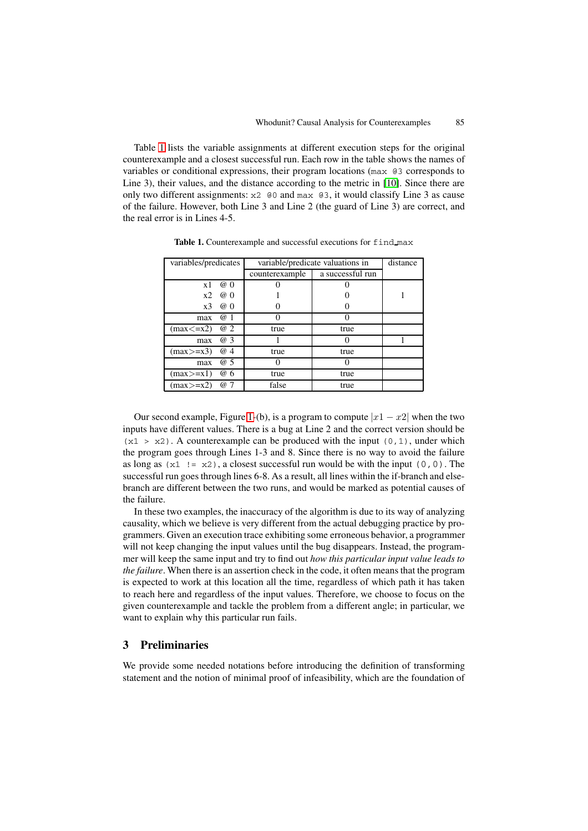Table [1](#page-3-0) lists the variable assignments at different execution steps for the original counterexample and a closest successful run. Each row in the table shows the names of variables or conditional expressions, their program locations (max @3 corresponds to Line 3), their values, and the distance according to the metric in [\[10\]](#page-13-5). Since there are only two different assignments:  $x2 \neq 0$  and max  $\theta$ 3, it would classify Line 3 as cause of the failure. However, both Line 3 and Line 2 (the guard of Line 3) are correct, and the real error is in Lines 4-5.

<span id="page-3-0"></span>

| variables/predicates |            | variable/predicate valuations in |                  | distance |
|----------------------|------------|----------------------------------|------------------|----------|
|                      |            | counterexample                   | a successful run |          |
| x1                   | $\omega$ 0 |                                  |                  |          |
| x2                   | @0         |                                  |                  |          |
| x <sub>3</sub>       | @0         |                                  |                  |          |
| max                  | @1         |                                  |                  |          |
| $(max < = x2)$       | @2         | true                             | true             |          |
| max                  | @ 3        |                                  |                  |          |
| $(max>=x3)$          | @4         | true                             | true             |          |
| max                  | @ 5        |                                  |                  |          |
| $(max>=x1)$          | @ 6        | true                             | true             |          |
| $(max>=x2)$          | @ 7        | false                            | true             |          |

**Table 1.** Counterexample and successful executions for find max

Our second example, Figure [1-](#page-2-0)(b), is a program to compute  $|x1 - x2|$  when the two inputs have different values. There is a bug at Line 2 and the correct version should be  $(x1 > x2)$ . A counterexample can be produced with the input  $(0, 1)$ , under which the program goes through Lines 1-3 and 8. Since there is no way to avoid the failure as long as  $(x1 := x2)$ , a closest successful run would be with the input  $(0, 0)$ . The successful run goes through lines 6-8. As a result, all lines within the if-branch and elsebranch are different between the two runs, and would be marked as potential causes of the failure.

In these two examples, the inaccuracy of the algorithm is due to its way of analyzing causality, which we believe is very different from the actual debugging practice by programmers. Given an execution trace exhibiting some erroneous behavior, a programmer will not keep changing the input values until the bug disappears. Instead, the programmer will keep the same input and try to find out *how this particular input value leads to the failure*. When there is an assertion check in the code, it often means that the program is expected to work at this location all the time, regardless of which path it has taken to reach here and regardless of the input values. Therefore, we choose to focus on the given counterexample and tackle the problem from a different angle; in particular, we want to explain why this particular run fails.

# **3 Preliminaries**

We provide some needed notations before introducing the definition of transforming statement and the notion of minimal proof of infeasibility, which are the foundation of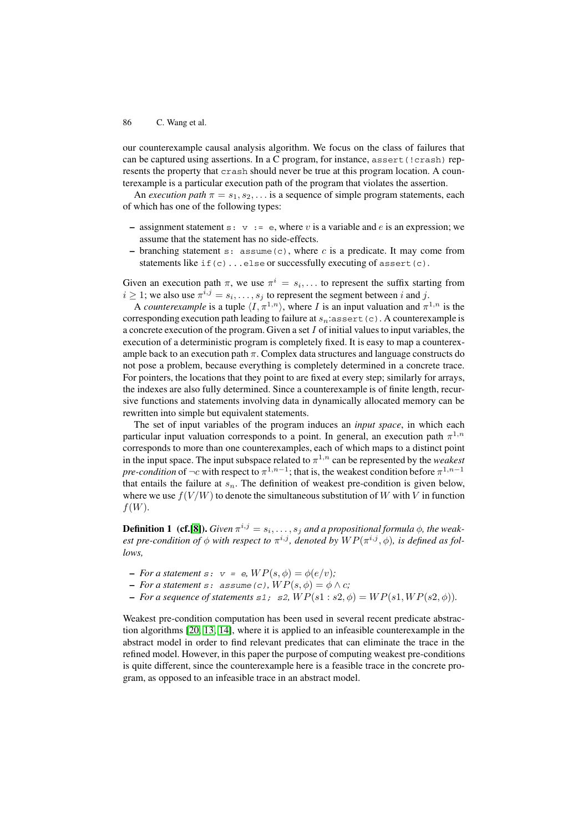our counterexample causal analysis algorithm. We focus on the class of failures that can be captured using assertions. In a C program, for instance, assert (!crash) represents the property that crash should never be true at this program location. A counterexample is a particular execution path of the program that violates the assertion.

An *execution path*  $\pi = s_1, s_2, \ldots$  is a sequence of simple program statements, each of which has one of the following types:

- **–** assignment statement  $s: v := e$ , where v is a variable and e is an expression; we assume that the statement has no side-effects.
- **–** branching statement s: assume(c), where c is a predicate. It may come from statements like if(c)...else or successfully executing of assert(c).

Given an execution path  $\pi$ , we use  $\pi^{i} = s_{i}, \dots$  to represent the suffix starting from  $i \geq 1$ ; we also use  $\pi^{i,j} = s_i, \ldots, s_j$  to represent the segment between i and j.

A *counterexample* is a tuple  $\langle I, \pi^{1,n} \rangle$ , where I is an input valuation and  $\pi^{1,n}$  is the corresponding execution path leading to failure at  $s_n$ : assert(c). A counterexample is a concrete execution of the program. Given a set I of initial values to input variables, the execution of a deterministic program is completely fixed. It is easy to map a counterexample back to an execution path  $\pi$ . Complex data structures and language constructs do not pose a problem, because everything is completely determined in a concrete trace. For pointers, the locations that they point to are fixed at every step; similarly for arrays, the indexes are also fully determined. Since a counterexample is of finite length, recursive functions and statements involving data in dynamically allocated memory can be rewritten into simple but equivalent statements.

The set of input variables of the program induces an *input space*, in which each particular input valuation corresponds to a point. In general, an execution path  $\pi^{1,n}$ corresponds to more than one counterexamples, each of which maps to a distinct point in the input space. The input subspace related to  $\pi^{1,n}$  can be represented by the *weakest pre-condition* of  $\neg c$  with respect to  $\pi^{1,n-1}$ ; that is, the weakest condition before  $\pi^{1,n-1}$ that entails the failure at  $s_n$ . The definition of weakest pre-condition is given below, where we use  $f(V/W)$  to denote the simultaneous substitution of W with V in function  $f(W)$ .

**Definition 1** (cf.[\[8\]](#page-13-9)). *Given*  $\pi^{i,j} = s_i, \ldots, s_j$  *and a propositional formula*  $\phi$ *, the weakest pre-condition of*  $\phi$  *with respect to*  $\pi^{i,j}$ , *denoted by*  $WP(\pi^{i,j}, \phi)$ *, is defined as follows,*

- **–** *For a statement*  $s: v = e, WP(s, \phi) = \phi(e/v);$
- *– For a statement*  $s$ :  $assume(c)$ *,*  $WP(s, \phi) = \phi \wedge c$ *;*
- **–** *For a sequence of statements*  $s1$ ;  $s2$ ,  $WP(s1 : s2, \phi) = WP(s1, WP(s2, \phi))$ *.*

Weakest pre-condition computation has been used in several recent predicate abstraction algorithms [\[20,](#page-13-10) [13,](#page-13-11) [14\]](#page-13-12), where it is applied to an infeasible counterexample in the abstract model in order to find relevant predicates that can eliminate the trace in the refined model. However, in this paper the purpose of computing weakest pre-conditions is quite different, since the counterexample here is a feasible trace in the concrete program, as opposed to an infeasible trace in an abstract model.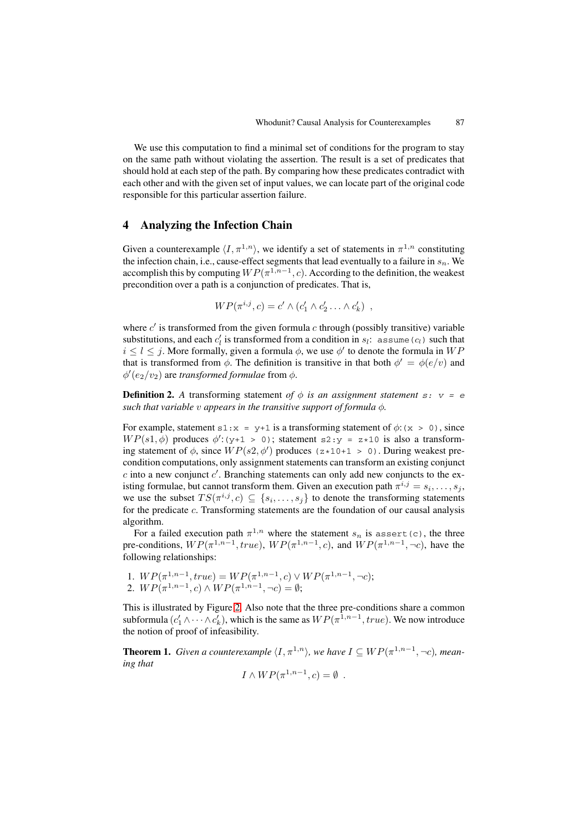We use this computation to find a minimal set of conditions for the program to stay on the same path without violating the assertion. The result is a set of predicates that should hold at each step of the path. By comparing how these predicates contradict with each other and with the given set of input values, we can locate part of the original code responsible for this particular assertion failure.

## **4 Analyzing the Infection Chain**

Given a counterexample  $\langle I, \pi^{1,n} \rangle$ , we identify a set of statements in  $\pi^{1,n}$  constituting the infection chain, i.e., cause-effect segments that lead eventually to a failure in s*n*. We accomplish this by computing  $WP(\pi^{1,n-1}, c)$ . According to the definition, the weakest precondition over a path is a conjunction of predicates. That is,

$$
WP(\pi^{i,j}, c) = c' \wedge (c'_1 \wedge c'_2 \ldots \wedge c'_k) ,
$$

where  $c'$  is transformed from the given formula  $c$  through (possibly transitive) variable substitutions, and each  $c_l'$  is transformed from a condition in  $s_l$ : assume ( $c_l$ ) such that  $i \leq l \leq j$ . More formally, given a formula  $\phi$ , we use  $\phi'$  to denote the formula in  $WP$ that is transformed from  $\phi$ . The definition is transitive in that both  $\phi' = \phi(e/v)$  and  $\phi'(e_2/v_2)$  are *transformed formulae* from  $\phi$ .

**Definition 2.** *A* transforming statement *of*  $\phi$  *is an assignment statement s*:  $v = e$ *such that variable* v *appears in the transitive support of formula* φ*.*

For example, statement s1:x = y+1 is a transforming statement of  $\phi$ : (x > 0), since  $WP(s1,\phi)$  produces  $\phi':(\gamma+1 > 0)$ ; statement s2:  $\gamma = z*10$  is also a transforming statement of  $\phi$ , since  $WP(s2, \phi')$  produces (z\*10+1 > 0). During weakest precondition computations, only assignment statements can transform an existing conjunct  $c$  into a new conjunct  $c'$ . Branching statements can only add new conjuncts to the existing formulae, but cannot transform them. Given an execution path  $\pi^{i,j} = s_i, \ldots, s_j$ , we use the subset  $TS(\pi^{i,j}, c) \subseteq \{s_i, \ldots, s_j\}$  to denote the transforming statements for the predicate c. Transforming statements are the foundation of our causal analysis algorithm.

For a failed execution path  $\pi^{1,n}$  where the statement  $s_n$  is assert(c), the three pre-conditions,  $WP(\pi^{1,n-1}, true)$ ,  $WP(\pi^{1,n-1}, c)$ , and  $WP(\pi^{1,n-1}, \neg c)$ , have the following relationships:

1.  $WP(\pi^{1,n-1}, true) = WP(\pi^{1,n-1}, c) \vee WP(\pi^{1,n-1}, \neg c);$ 2.  $WP(\pi^{1,n-1}, c) \wedge WP(\pi^{1,n-1}, \neg c) = \emptyset;$ 

This is illustrated by Figure [2.](#page-6-0) Also note that the three pre-conditions share a common subformula  $(c'_1 \wedge \cdots \wedge c'_k)$ , which is the same as  $WP(\pi^{\overline{1},n-1}, true)$ . We now introduce the notion of proof of infeasibility.

**Theorem 1.** *Given a counterexample*  $\langle I, \pi^{1,n} \rangle$ *, we have*  $I \subseteq WP(\pi^{1,n-1}, \neg c)$ *, meaning that*

$$
I \wedge W P(\pi^{1,n-1}, c) = \emptyset.
$$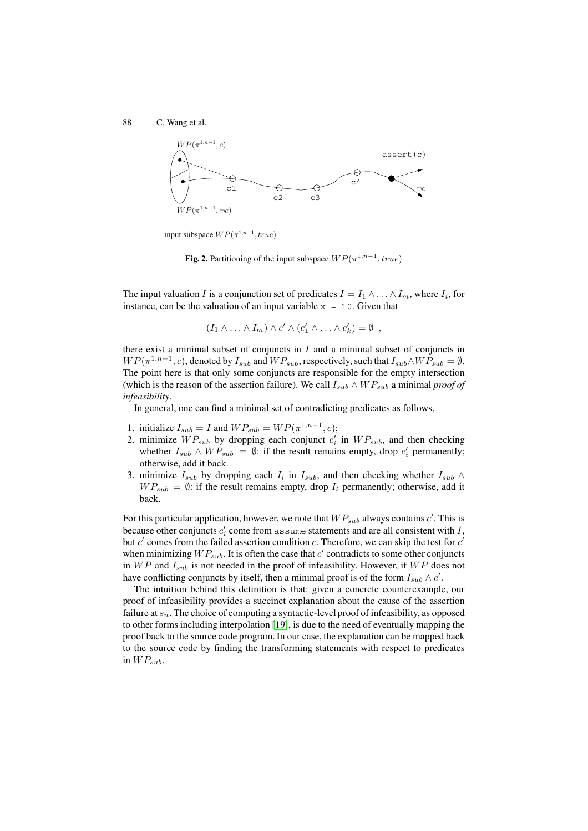

input subspace  $WP(\pi^{1,n-1}, true)$ 

**Fig. 2.** Partitioning of the input subspace  $WP(\pi^{1,n-1}, true)$ 

<span id="page-6-0"></span>The input valuation I is a conjunction set of predicates  $I = I_1 \wedge \ldots \wedge I_m$ , where  $I_i$ , for instance, can be the valuation of an input variable  $x = 10$ . Given that

$$
(I_1 \wedge \ldots \wedge I_m) \wedge c' \wedge (c'_1 \wedge \ldots \wedge c'_k) = \emptyset ,
$$

there exist a minimal subset of conjuncts in  $I$  and a minimal subset of conjuncts in  $WP(\pi^{1,n-1}, c)$ , denoted by  $I_{sub}$  and  $WP_{sub}$ , respectively, such that  $I_{sub} \wedge WP_{sub} = \emptyset$ . The point here is that only some conjuncts are responsible for the empty intersection (which is the reason of the assertion failure). We call  $I_{sub} \wedge WP_{sub}$  a minimal *proof of infeasibility*.

In general, one can find a minimal set of contradicting predicates as follows,

- 1. initialize  $I_{sub} = I$  and  $WP_{sub} = WP(\pi^{1,n-1}, c)$ ;
- 2. minimize  $WP_{sub}$  by dropping each conjunct  $c'_{i}$  in  $WP_{sub}$ , and then checking whether  $I_{sub} \wedge WP_{sub} = \emptyset$ : if the result remains empty, drop  $c_i'$  permanently; otherwise, add it back.
- 3. minimize  $I_{sub}$  by dropping each  $I_i$  in  $I_{sub}$ , and then checking whether  $I_{sub} \wedge$  $WP_{sub} = \emptyset$ : if the result remains empty, drop  $I_i$  permanently; otherwise, add it back.

For this particular application, however, we note that  $WP_{sub}$  always contains  $c'$ . This is because other conjuncts  $c_i'$  come from assume statements and are all consistent with  $I$ , but  $c'$  comes from the failed assertion condition c. Therefore, we can skip the test for  $c'$ when minimizing  $WP_{sub}$ . It is often the case that  $c'$  contradicts to some other conjuncts in WP and  $I_{sub}$  is not needed in the proof of infeasibility. However, if WP does not have conflicting conjuncts by itself, then a minimal proof is of the form  $I_{sub} \wedge c'$ .

The intuition behind this definition is that: given a concrete counterexample, our proof of infeasibility provides a succinct explanation about the cause of the assertion failure at  $s_n$ . The choice of computing a syntactic-level proof of infeasibility, as opposed to other forms including interpolation [\[19\]](#page-13-13), is due to the need of eventually mapping the proof back to the source code program. In our case, the explanation can be mapped back to the source code by finding the transforming statements with respect to predicates in  $WP_{sub}$ .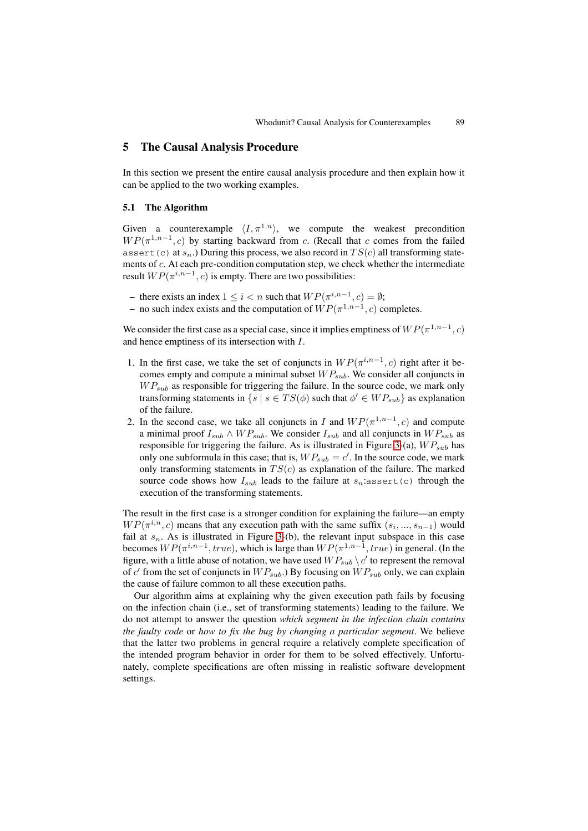# **5 The Causal Analysis Procedure**

In this section we present the entire causal analysis procedure and then explain how it can be applied to the two working examples.

## **5.1 The Algorithm**

Given a counterexample  $\langle I, \pi^{1,n} \rangle$ , we compute the weakest precondition  $WP(\pi^{1,n-1}, c)$  by starting backward from c. (Recall that c comes from the failed assert (c) at  $s_n$ .) During this process, we also record in  $TS(c)$  all transforming statements of c. At each pre-condition computation step, we check whether the intermediate result  $WP(\pi^{i,n-1}, c)$  is empty. There are two possibilities:

- **−** there exists an index  $1 \leq i < n$  such that  $WP(\pi^{i,n-1}, c) = \emptyset$ ;
- **−** no such index exists and the computation of  $WP(π^{1,n-1}, c)$  completes.

We consider the first case as a special case, since it implies emptiness of  $WP(\pi^{1,n-1}, c)$ and hence emptiness of its intersection with I.

- 1. In the first case, we take the set of conjuncts in  $WP(\pi^{i,n-1}, c)$  right after it becomes empty and compute a minimal subset W P*sub*. We consider all conjuncts in  $WP_{sub}$  as responsible for triggering the failure. In the source code, we mark only transforming statements in  $\{s \mid s \in TS(\phi) \text{ such that } \phi' \in WP_{sub}\}$  as explanation of the failure.
- 2. In the second case, we take all conjuncts in I and  $WP(\pi^{1,n-1}, c)$  and compute a minimal proof  $I_{sub} \wedge WP_{sub}$ . We consider  $I_{sub}$  and all conjuncts in  $WP_{sub}$  as responsible for triggering the failure. As is illustrated in Figure [3-](#page-8-0)(a),  $WP_{sub}$  has only one subformula in this case; that is,  $WP_{sub} = c'$ . In the source code, we mark only transforming statements in  $TS(c)$  as explanation of the failure. The marked source code shows how  $I_{sub}$  leads to the failure at  $s_n$ :assert(c) through the execution of the transforming statements.

The result in the first case is a stronger condition for explaining the failure—an empty  $WP(\pi^{i,n}, c)$  means that any execution path with the same suffix  $(s_i, ..., s_{n-1})$  would fail at  $s_n$ . As is illustrated in Figure [3-](#page-8-0)(b), the relevant input subspace in this case becomes  $WP(\pi^{i,n-1}, true)$ , which is large than  $WP(\pi^{1,n-1}, true)$  in general. (In the figure, with a little abuse of notation, we have used  $WP_{sub} \setminus c'$  to represent the removal of c' from the set of conjuncts in  $WP_{sub}$ .) By focusing on  $WP_{sub}$  only, we can explain the cause of failure common to all these execution paths.

Our algorithm aims at explaining why the given execution path fails by focusing on the infection chain (i.e., set of transforming statements) leading to the failure. We do not attempt to answer the question *which segment in the infection chain contains the faulty code* or *how to fix the bug by changing a particular segment*. We believe that the latter two problems in general require a relatively complete specification of the intended program behavior in order for them to be solved effectively. Unfortunately, complete specifications are often missing in realistic software development settings.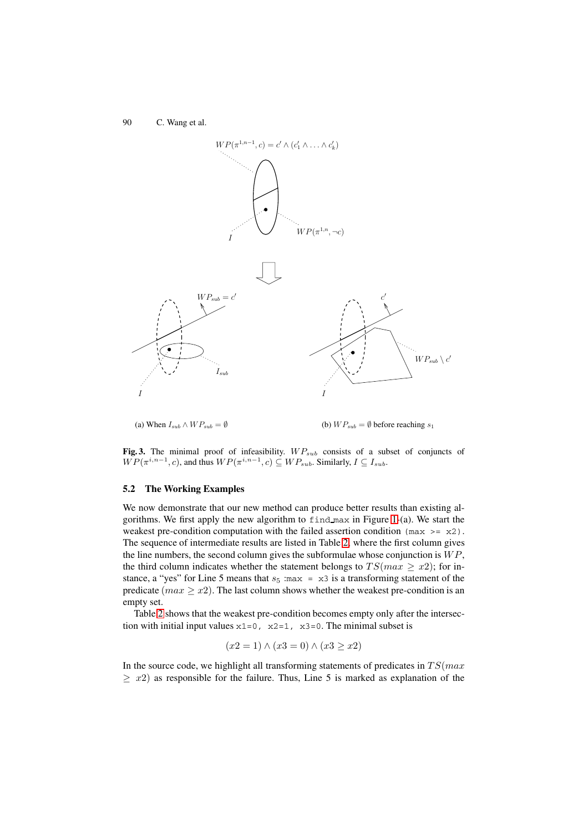



(a) When  $I_{sub} \wedge WP_{sub} = \emptyset$ (b)  $WP_{sub} = \emptyset$  before reaching  $s_1$ 

<span id="page-8-0"></span>Fig. 3. The minimal proof of infeasibility.  $WP_{sub}$  consists of a subset of conjuncts of  $WP(\pi^{i,n-1}, c)$ , and thus  $WP(\pi^{i,n-1}, c) \subseteq WP_{sub}$ . Similarly,  $I \subseteq I_{sub}$ .

## **5.2 The Working Examples**

We now demonstrate that our new method can produce better results than existing algorithms. We first apply the new algorithm to find max in Figure [1-](#page-2-0)(a). We start the weakest pre-condition computation with the failed assertion condition ( $\max > = x2$ ). The sequence of intermediate results are listed in Table [2,](#page-9-0) where the first column gives the line numbers, the second column gives the subformulae whose conjunction is  $WP$ , the third column indicates whether the statement belongs to  $TS(max \geq x2)$ ; for instance, a "yes" for Line 5 means that  $s_5$  :max = x3 is a transforming statement of the predicate ( $max \geq x^2$ ). The last column shows whether the weakest pre-condition is an empty set.

Table [2](#page-9-0) shows that the weakest pre-condition becomes empty only after the intersection with initial input values  $x1=0$ ,  $x2=1$ ,  $x3=0$ . The minimal subset is

$$
(x2 = 1) \land (x3 = 0) \land (x3 \ge x2)
$$

In the source code, we highlight all transforming statements of predicates in  $TS(max$  $\geq x$ 2) as responsible for the failure. Thus, Line 5 is marked as explanation of the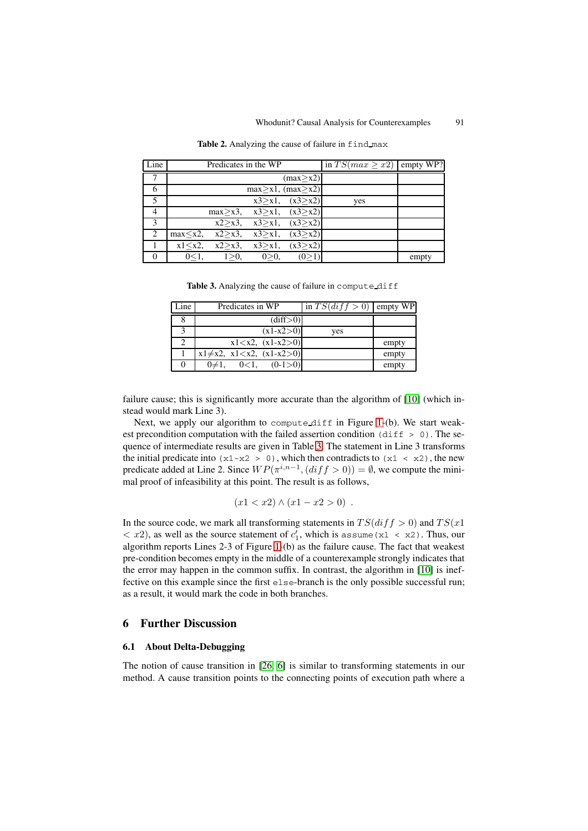<span id="page-9-0"></span>

| Line          | Predicates in the WP                                            | in $TS(max \geq x2)$ empty WP? |       |
|---------------|-----------------------------------------------------------------|--------------------------------|-------|
|               | (max > x2)                                                      |                                |       |
| <sub>(</sub>  | $max \geq x1$ , $(max \geq x2)$                                 |                                |       |
|               | $x3 > x1$ , $(x3 > x2)$                                         | yes                            |       |
|               | max>x3, x3>x1, $(x3> x2)$                                       |                                |       |
| $\mathcal{E}$ | $x2 > x3$ , $x3 > x1$ , $(x3 > x2)$                             |                                |       |
| 2             | max $\langle x2, x2 \rangle x3, x3 \rangle x1, (x3 \rangle x2)$ |                                |       |
|               | $x1 \le x2$ ,<br>$x2 > x3$ , $x3 > x1$ , $(x3 > x2)$            |                                |       |
|               | (0>1)<br>$0<1$ .<br>$0>0$ .<br>$1 > 0$ ,                        |                                | empty |

Table 2. Analyzing the cause of failure in find max

**Table 3.** Analyzing the cause of failure in compute diff

<span id="page-9-1"></span>

| Line              | Predicates in WP                       | in $TS(diff > 0)$ empty WP |       |
|-------------------|----------------------------------------|----------------------------|-------|
| 8                 | $\text{(diff>0)}$                      |                            |       |
| $\mathbf{\Omega}$ | $(x1-x2>0)$                            | yes                        |       |
| $\mathcal{D}$     | $x1 < x2$ , $(x1-x2>0)$                |                            | empty |
|                   | $x1 \neq x2$ , $x1 < x2$ , $(x1-x2>0)$ |                            | empty |
|                   | $0\neq 1$ .<br>$0<1,$ $(0-1>0)$        |                            | empty |

failure cause; this is significantly more accurate than the algorithm of [\[10\]](#page-13-5) (which instead would mark Line 3).

Next, we apply our algorithm to compute diff in Figure [1-](#page-2-0)(b). We start weakest precondition computation with the failed assertion condition (diff  $> 0$ ). The sequence of intermediate results are given in Table [3.](#page-9-1) The statement in Line 3 transforms the initial predicate into  $(x1-x2 > 0)$ , which then contradicts to  $(x1 < x2)$ , the new predicate added at Line 2. Since  $WP(\pi^{i,n-1},(diff > 0)) = \emptyset$ , we compute the minimal proof of infeasibility at this point. The result is as follows,

$$
(x1 < x2) \land (x1 - x2 > 0) .
$$

In the source code, we mark all transforming statements in  $TS(diff > 0)$  and  $TS(x1)$  $\langle x^2 \rangle$ , as well as the source statement of  $c'_1$ , which is assume (x1  $\langle x^2 \rangle$ ). Thus, our algorithm reports Lines 2-3 of Figure [1-](#page-2-0)(b) as the failure cause. The fact that weakest pre-condition becomes empty in the middle of a counterexample strongly indicates that the error may happen in the common suffix. In contrast, the algorithm in [\[10\]](#page-13-5) is ineffective on this example since the first else-branch is the only possible successful run; as a result, it would mark the code in both branches.

## **6 Further Discussion**

### **6.1 About Delta-Debugging**

The notion of cause transition in [\[26,](#page-13-1) [6\]](#page-12-4) is similar to transforming statements in our method. A cause transition points to the connecting points of execution path where a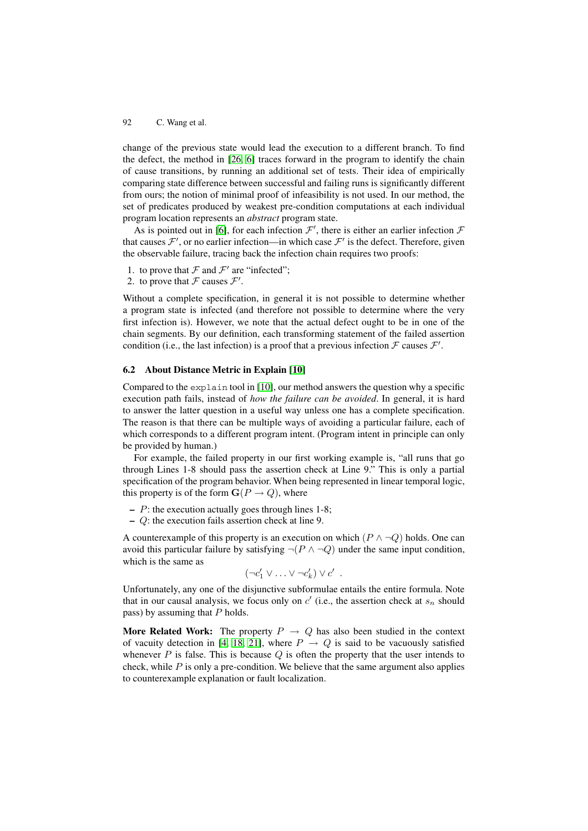change of the previous state would lead the execution to a different branch. To find the defect, the method in [\[26,](#page-13-1) [6\]](#page-12-4) traces forward in the program to identify the chain of cause transitions, by running an additional set of tests. Their idea of empirically comparing state difference between successful and failing runs is significantly different from ours; the notion of minimal proof of infeasibility is not used. In our method, the set of predicates produced by weakest pre-condition computations at each individual program location represents an *abstract* program state.

As is pointed out in [\[6\]](#page-12-4), for each infection  $\mathcal{F}'$ , there is either an earlier infection  $\mathcal F$ that causes  $\mathcal{F}',$  or no earlier infection—in which case  $\mathcal{F}'$  is the defect. Therefore, given the observable failure, tracing back the infection chain requires two proofs:

- 1. to prove that  $\mathcal F$  and  $\mathcal F'$  are "infected";
- 2. to prove that  $\mathcal F$  causes  $\mathcal F'$ .

Without a complete specification, in general it is not possible to determine whether a program state is infected (and therefore not possible to determine where the very first infection is). However, we note that the actual defect ought to be in one of the chain segments. By our definition, each transforming statement of the failed assertion condition (i.e., the last infection) is a proof that a previous infection  $\mathcal F$  causes  $\mathcal F'$ .

#### **6.2 About Distance Metric in Explain [\[10\]](#page-13-5)**

Compared to the explain tool in [\[10\]](#page-13-5), our method answers the question why a specific execution path fails, instead of *how the failure can be avoided*. In general, it is hard to answer the latter question in a useful way unless one has a complete specification. The reason is that there can be multiple ways of avoiding a particular failure, each of which corresponds to a different program intent. (Program intent in principle can only be provided by human.)

For example, the failed property in our first working example is, "all runs that go through Lines 1-8 should pass the assertion check at Line 9." This is only a partial specification of the program behavior. When being represented in linear temporal logic, this property is of the form  $\mathbf{G}(P \to Q)$ , where

- **–** P: the execution actually goes through lines 1-8;
- **–** Q: the execution fails assertion check at line 9.

A counterexample of this property is an execution on which  $(P \land \neg Q)$  holds. One can avoid this particular failure by satisfying  $\neg (P \land \neg Q)$  under the same input condition, which is the same as

$$
(\neg c_1' \lor \ldots \lor \neg c_k') \lor c' \ .
$$

Unfortunately, any one of the disjunctive subformulae entails the entire formula. Note that in our causal analysis, we focus only on  $c'$  (i.e., the assertion check at  $s_n$  should pass) by assuming that P holds.

**More Related Work:** The property  $P \rightarrow Q$  has also been studied in the context of vacuity detection in [\[4,](#page-12-5) [18,](#page-13-14) [21\]](#page-13-15), where  $P \rightarrow Q$  is said to be vacuously satisfied whenever  $P$  is false. This is because  $Q$  is often the property that the user intends to check, while  $P$  is only a pre-condition. We believe that the same argument also applies to counterexample explanation or fault localization.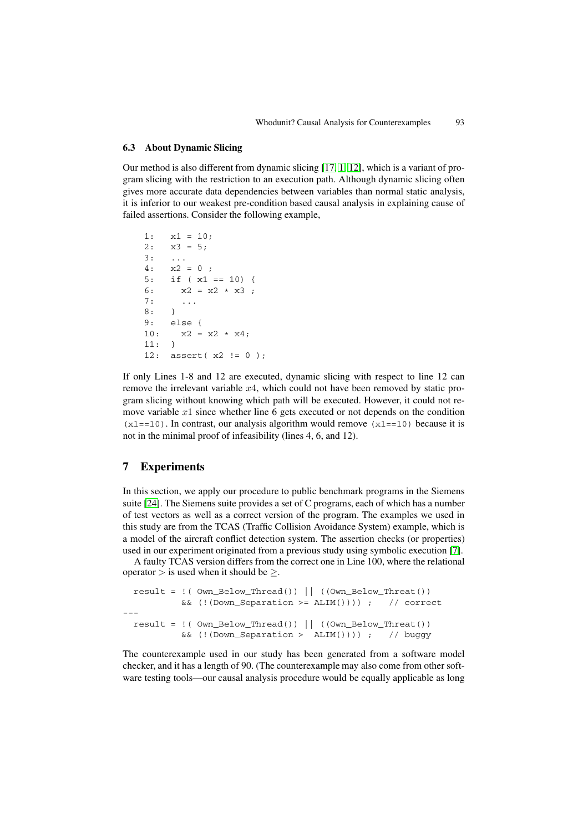#### **6.3 About Dynamic Slicing**

Our method is also different from dynamic slicing [\[17,](#page-13-16) [1,](#page-12-6) [12\]](#page-13-17), which is a variant of program slicing with the restriction to an execution path. Although dynamic slicing often gives more accurate data dependencies between variables than normal static analysis, it is inferior to our weakest pre-condition based causal analysis in explaining cause of failed assertions. Consider the following example,

```
1: x1 = 10:2: x3 = 5:3: \ldots4: \quad x2 = 0;5: if ( x1 == 10) {
6: x2 = x2 \times x3;
7:8: }
9: else {
10: x2 = x2 \times x4;11: }
12: assert( x2 != 0 );
```
If only Lines 1-8 and 12 are executed, dynamic slicing with respect to line 12 can remove the irrelevant variable  $x<sub>4</sub>$ , which could not have been removed by static program slicing without knowing which path will be executed. However, it could not remove variable  $x_1$  since whether line 6 gets executed or not depends on the condition  $(x1==10)$ . In contrast, our analysis algorithm would remove  $(x1==10)$  because it is not in the minimal proof of infeasibility (lines 4, 6, and 12).

## **7 Experiments**

In this section, we apply our procedure to public benchmark programs in the Siemens suite [\[24\]](#page-13-18). The Siemens suite provides a set of C programs, each of which has a number of test vectors as well as a correct version of the program. The examples we used in this study are from the TCAS (Traffic Collision Avoidance System) example, which is a model of the aircraft conflict detection system. The assertion checks (or properties) used in our experiment originated from a previous study using symbolic execution [\[7\]](#page-12-7).

A faulty TCAS version differs from the correct one in Line 100, where the relational operator > is used when it should be  $\geq$ .

```
result = !( Own_Below_Thread()) || ((Own_Below_Threat())
          && (!(Down_Separation >= ALIM()))) ; // correct
---
 result = !( Own_Below_Thread()) || ((Own_Below_Threat())
          && (!(Down_Separation > ALIM()))) ; // buggy
```
The counterexample used in our study has been generated from a software model checker, and it has a length of 90. (The counterexample may also come from other software testing tools—our causal analysis procedure would be equally applicable as long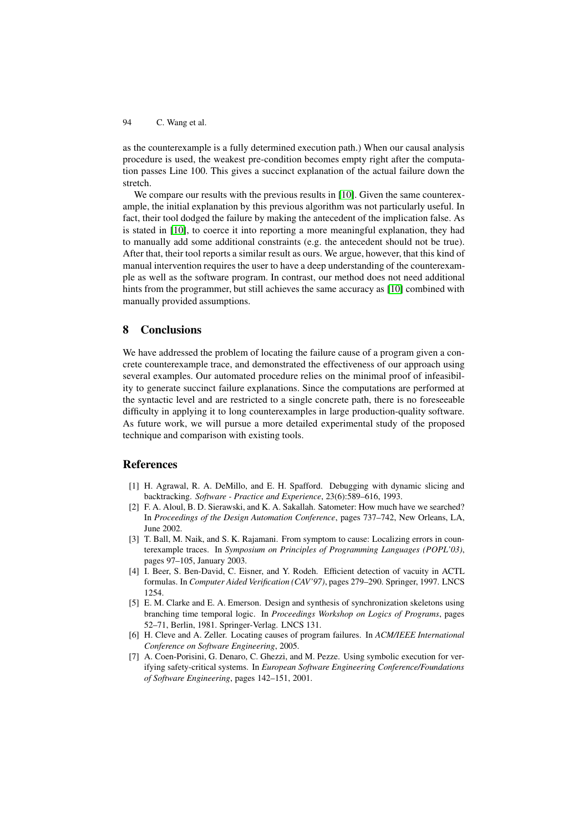as the counterexample is a fully determined execution path.) When our causal analysis procedure is used, the weakest pre-condition becomes empty right after the computation passes Line 100. This gives a succinct explanation of the actual failure down the stretch.

We compare our results with the previous results in [\[10\]](#page-13-5). Given the same counterexample, the initial explanation by this previous algorithm was not particularly useful. In fact, their tool dodged the failure by making the antecedent of the implication false. As is stated in [\[10\]](#page-13-5), to coerce it into reporting a more meaningful explanation, they had to manually add some additional constraints (e.g. the antecedent should not be true). After that, their tool reports a similar result as ours. We argue, however, that this kind of manual intervention requires the user to have a deep understanding of the counterexample as well as the software program. In contrast, our method does not need additional hints from the programmer, but still achieves the same accuracy as [\[10\]](#page-13-5) combined with manually provided assumptions.

# **8 Conclusions**

We have addressed the problem of locating the failure cause of a program given a concrete counterexample trace, and demonstrated the effectiveness of our approach using several examples. Our automated procedure relies on the minimal proof of infeasibility to generate succinct failure explanations. Since the computations are performed at the syntactic level and are restricted to a single concrete path, there is no foreseeable difficulty in applying it to long counterexamples in large production-quality software. As future work, we will pursue a more detailed experimental study of the proposed technique and comparison with existing tools.

## <span id="page-12-6"></span><span id="page-12-1"></span>**References**

- <span id="page-12-3"></span>[1] H. Agrawal, R. A. DeMillo, and E. H. Spafford. Debugging with dynamic slicing and backtracking. *Software - Practice and Experience*, 23(6):589–616, 1993.
- [2] F. A. Aloul, B. D. Sierawski, and K. A. Sakallah. Satometer: How much have we searched? In *Proceedings of the Design Automation Conference*, pages 737–742, New Orleans, LA, June 2002.
- <span id="page-12-2"></span>[3] T. Ball, M. Naik, and S. K. Rajamani. From symptom to cause: Localizing errors in counterexample traces. In *Symposium on Principles of Programming Languages (POPL'03)*, pages 97–105, January 2003.
- <span id="page-12-5"></span>[4] I. Beer, S. Ben-David, C. Eisner, and Y. Rodeh. Efficient detection of vacuity in ACTL formulas. In *Computer Aided Verification (CAV'97)*, pages 279–290. Springer, 1997. LNCS 1254.
- <span id="page-12-0"></span>[5] E. M. Clarke and E. A. Emerson. Design and synthesis of synchronization skeletons using branching time temporal logic. In *Proceedings Workshop on Logics of Programs*, pages 52–71, Berlin, 1981. Springer-Verlag. LNCS 131.
- <span id="page-12-4"></span>[6] H. Cleve and A. Zeller. Locating causes of program failures. In *ACM/IEEE International Conference on Software Engineering*, 2005.
- <span id="page-12-7"></span>[7] A. Coen-Porisini, G. Denaro, C. Ghezzi, and M. Pezze. Using symbolic execution for verifying safety-critical systems. In *European Software Engineering Conference/Foundations of Software Engineering*, pages 142–151, 2001.